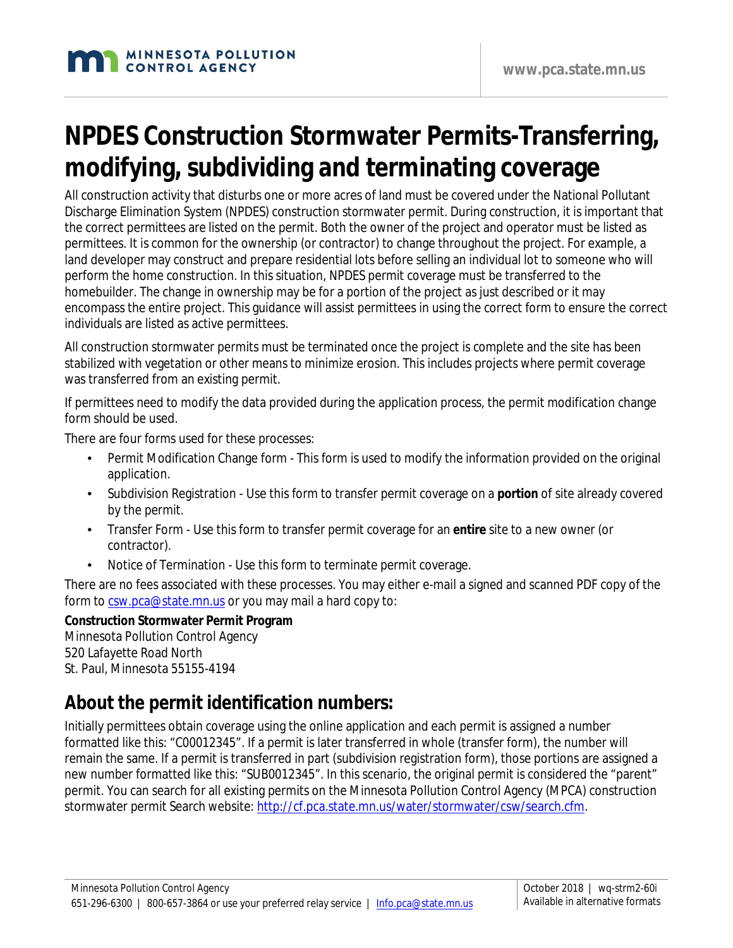# **NPDES Construction Stormwater Permits-Transferring, modifying, subdividing and terminating coverage**

All construction activity that disturbs one or more acres of land must be covered under the National Pollutant Discharge Elimination System (NPDES) construction stormwater permit. During construction, it is important that the correct permittees are listed on the permit. Both the owner of the project and operator must be listed as permittees. It is common for the ownership (or contractor) to change throughout the project. For example, a land developer may construct and prepare residential lots before selling an individual lot to someone who will perform the home construction. In this situation, NPDES permit coverage must be transferred to the homebuilder. The change in ownership may be for a portion of the project as just described or it may encompass the entire project. This guidance will assist permittees in using the correct form to ensure the correct individuals are listed as active permittees.

All construction stormwater permits must be terminated once the project is complete and the site has been stabilized with vegetation or other means to minimize erosion. This includes projects where permit coverage was transferred from an existing permit.

If permittees need to modify the data provided during the application process, the permit modification change form should be used.

There are four forms used for these processes:

- Permit Modification Change form This form is used to modify the information provided on the original application.
- Subdivision Registration Use this form to transfer permit coverage on a **portion** of site already covered by the permit.
- Transfer Form Use this form to transfer permit coverage for an **entire** site to a new owner (or contractor).
- Notice of Termination Use this form to terminate permit coverage.

There are no fees associated with these processes. You may either e-mail a signed and scanned PDF copy of the form to [csw.pca@state.mn.us](mailto:csw.pca@state.mn.us) or you may mail a hard copy to:

#### **Construction Stormwater Permit Program**

Minnesota Pollution Control Agency 520 Lafayette Road North St. Paul, Minnesota 55155-4194

#### **About the permit identification numbers:**

Initially permittees obtain coverage using the online application and each permit is assigned a number formatted like this: "C00012345". If a permit is later transferred in whole (transfer form), the number will remain the same. If a permit is transferred in part (subdivision registration form), those portions are assigned a new number formatted like this: "SUB0012345". In this scenario, the original permit is considered the "parent" permit. You can search for all existing permits on the Minnesota Pollution Control Agency (MPCA) construction stormwater permit Search website: [http://cf.pca.state.mn.us/water/stormwater/csw/search.cfm.](http://cf.pca.state.mn.us/water/stormwater/csw/search.cfm)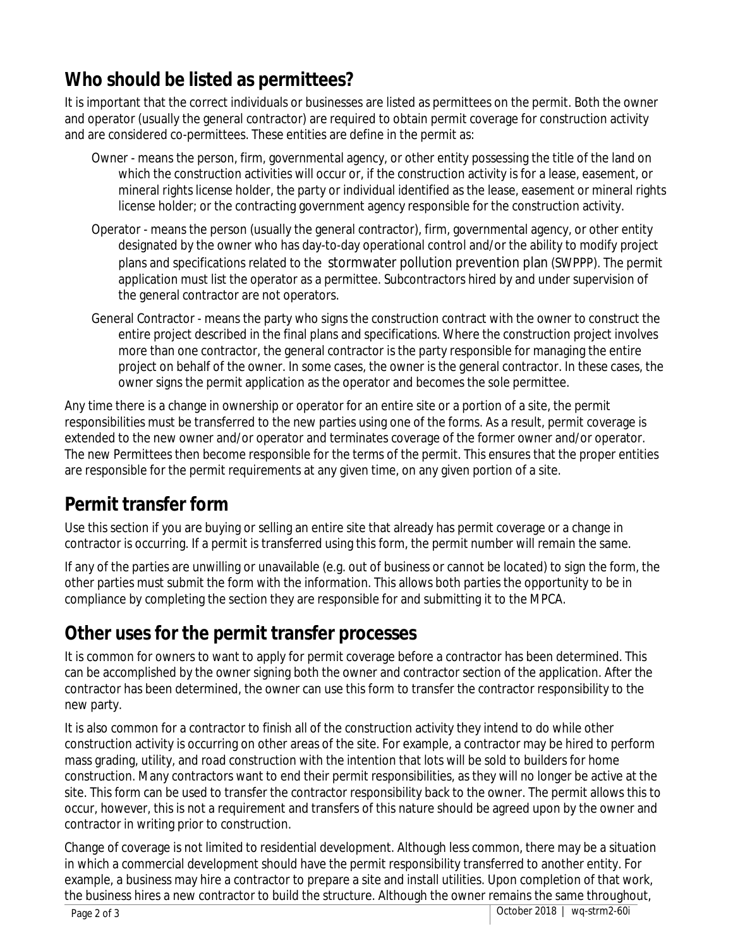#### **Who should be listed as permittees?**

It is important that the correct individuals or businesses are listed as permittees on the permit. Both the owner and operator (usually the general contractor) are required to obtain permit coverage for construction activity and are considered co-permittees. These entities are define in the permit as:

- Owner means the person, firm, governmental agency, or other entity possessing the title of the land on which the construction activities will occur or, if the construction activity is for a lease, easement, or mineral rights license holder, the party or individual identified as the lease, easement or mineral rights license holder; or the contracting government agency responsible for the construction activity.
- Operator means the person (usually the general contractor), firm, governmental agency, or other entity designated by the owner who has day-to-day operational control and/or the ability to modify project plans and specifications related to the stormwater pollution prevention plan (SWPPP). The permit application must list the operator as a permittee. Subcontractors hired by and under supervision of the general contractor are not operators.
- General Contractor means the party who signs the construction contract with the owner to construct the entire project described in the final plans and specifications. Where the construction project involves more than one contractor, the general contractor is the party responsible for managing the entire project on behalf of the owner. In some cases, the owner is the general contractor. In these cases, the owner signs the permit application as the operator and becomes the sole permittee.

Any time there is a change in ownership or operator for an entire site or a portion of a site, the permit responsibilities must be transferred to the new parties using one of the forms. As a result, permit coverage is extended to the new owner and/or operator and terminates coverage of the former owner and/or operator. The new Permittees then become responsible for the terms of the permit. This ensures that the proper entities are responsible for the permit requirements at any given time, on any given portion of a site.

#### **Permit transfer form**

Use this section if you are buying or selling an entire site that already has permit coverage or a change in contractor is occurring. If a permit is transferred using this form, the permit number will remain the same.

If any of the parties are unwilling or unavailable (e.g. out of business or cannot be located) to sign the form, the other parties must submit the form with the information. This allows both parties the opportunity to be in compliance by completing the section they are responsible for and submitting it to the MPCA.

#### **Other uses for the permit transfer processes**

It is common for owners to want to apply for permit coverage before a contractor has been determined. This can be accomplished by the owner signing both the owner and contractor section of the application. After the contractor has been determined, the owner can use this form to transfer the contractor responsibility to the new party.

It is also common for a contractor to finish all of the construction activity they intend to do while other construction activity is occurring on other areas of the site. For example, a contractor may be hired to perform mass grading, utility, and road construction with the intention that lots will be sold to builders for home construction. Many contractors want to end their permit responsibilities, as they will no longer be active at the site. This form can be used to transfer the contractor responsibility back to the owner. The permit allows this to occur, however, this is not a requirement and transfers of this nature should be agreed upon by the owner and contractor in writing prior to construction.

Change of coverage is not limited to residential development. Although less common, there may be a situation in which a commercial development should have the permit responsibility transferred to another entity. For example, a business may hire a contractor to prepare a site and install utilities. Upon completion of that work, the business hires a new contractor to build the structure. Although the owner remains the same throughout,